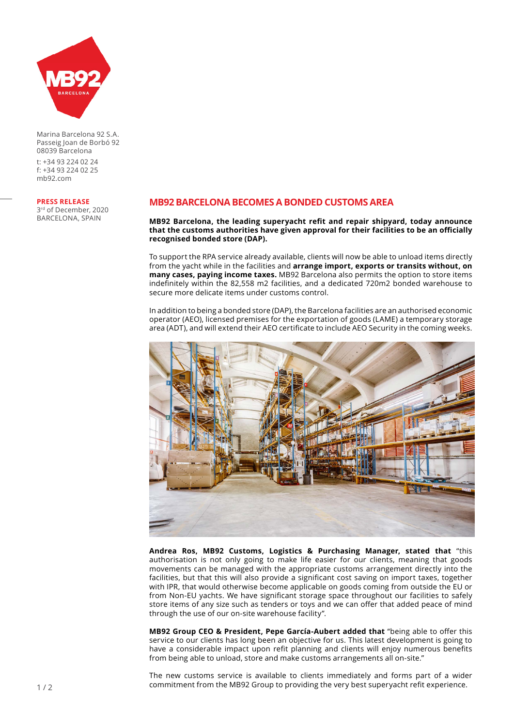

Marina Barcelona 92 S.A. Passeig Joan de Borbó 92 08039 Barcelona

t: +34 93 224 02 24 f: +34 93 224 02 25 mb92.com

#### **PRESS RELEASE**

3rd of December, 2020 BARCELONA, SPAIN

# **MB92 BARCELONA BECOMES A BONDED CUSTOMS AREA**

**MB92 Barcelona, the leading superyacht refit and repair shipyard, today announce that the customs authorities have given approval for their facilities to be an officially recognised bonded store (DAP).** 

To support the RPA service already available, clients will now be able to unload items directly from the yacht while in the facilities and **arrange import, exports or transits without, on many cases, paying income taxes.** MB92 Barcelona also permits the option to store items indefinitely within the 82,558 m2 facilities, and a dedicated 720m2 bonded warehouse to secure more delicate items under customs control.

In addition to being a bonded store (DAP), the Barcelona facilities are an authorised economic operator (AEO), licensed premises for the exportation of goods (LAME) a temporary storage area (ADT), and will extend their AEO certificate to include AEO Security in the coming weeks.



**Andrea Ros, MB92 Customs, Logistics & Purchasing Manager, stated that** "this authorisation is not only going to make life easier for our clients, meaning that goods movements can be managed with the appropriate customs arrangement directly into the facilities, but that this will also provide a significant cost saving on import taxes, together with IPR, that would otherwise become applicable on goods coming from outside the EU or from Non-EU yachts. We have significant storage space throughout our facilities to safely store items of any size such as tenders or toys and we can offer that added peace of mind through the use of our on-site warehouse facility".

**MB92 Group CEO & President, Pepe García-Aubert added that** "being able to offer this service to our clients has long been an objective for us. This latest development is going to have a considerable impact upon refit planning and clients will enjoy numerous benefits from being able to unload, store and make customs arrangements all on-site."

The new customs service is available to clients immediately and forms part of a wider commitment from the MB92 Group to providing the very best superyacht refit experience.